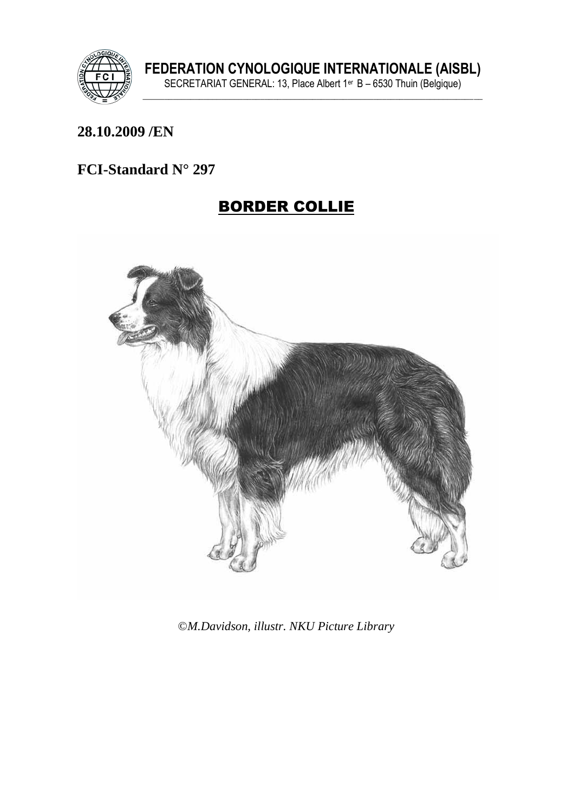

#### **28.10.2009 /EN**

### **FCI-Standard N° 297**

# BORDER COLLIE



©*M.Davidson, illustr. NKU Picture Library*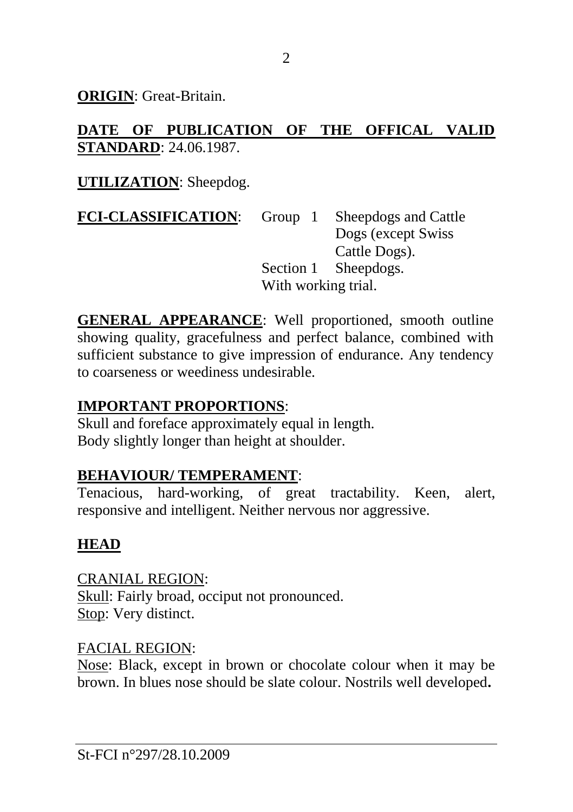**ORIGIN**: Great-Britain.

### **DATE OF PUBLICATION OF THE OFFICAL VALID STANDARD**: 24.06.1987.

## **UTILIZATION**: Sheepdog.

**FCI-CLASSIFICATION:** Group 1 Sheepdogs and Cattle Dogs (except Swiss Cattle Dogs). Section 1 Sheepdogs. With working trial.

**GENERAL APPEARANCE**: Well proportioned, smooth outline showing quality, gracefulness and perfect balance, combined with sufficient substance to give impression of endurance. Any tendency to coarseness or weediness undesirable.

## **IMPORTANT PROPORTIONS**:

Skull and foreface approximately equal in length. Body slightly longer than height at shoulder.

### **BEHAVIOUR/ TEMPERAMENT**:

Tenacious, hard-working, of great tractability. Keen, alert, responsive and intelligent. Neither nervous nor aggressive.

## **HEAD**

CRANIAL REGION: Skull: Fairly broad, occiput not pronounced. Stop: Very distinct.

### FACIAL REGION:

Nose: Black, except in brown or chocolate colour when it may be brown. In blues nose should be slate colour. Nostrils well developed**.**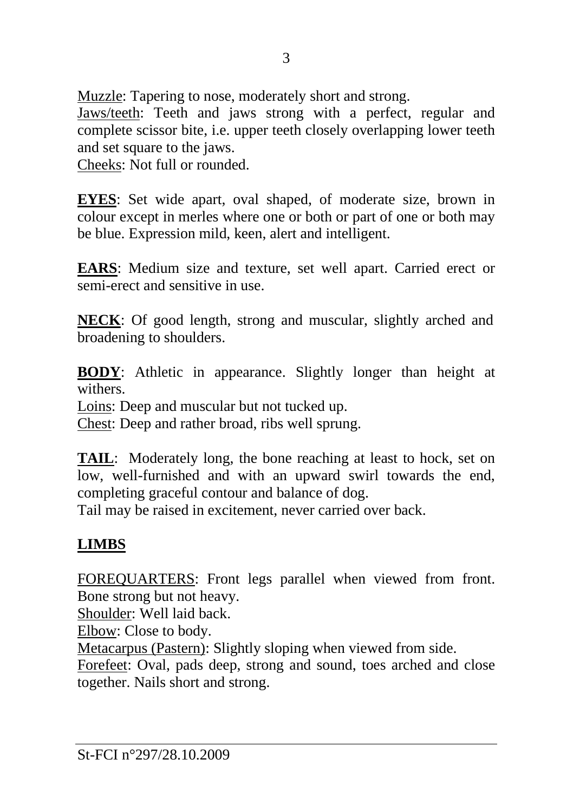Muzzle: Tapering to nose, moderately short and strong.

Jaws/teeth: Teeth and jaws strong with a perfect, regular and complete scissor bite, i.e. upper teeth closely overlapping lower teeth and set square to the jaws.

Cheeks: Not full or rounded.

**EYES**: Set wide apart, oval shaped, of moderate size, brown in colour except in merles where one or both or part of one or both may be blue. Expression mild, keen, alert and intelligent.

**EARS**: Medium size and texture, set well apart. Carried erect or semi-erect and sensitive in use.

**NECK**: Of good length, strong and muscular, slightly arched and broadening to shoulders.

**BODY**: Athletic in appearance. Slightly longer than height at withers.

Loins: Deep and muscular but not tucked up.

Chest: Deep and rather broad, ribs well sprung.

**TAIL**: Moderately long, the bone reaching at least to hock, set on low, well-furnished and with an upward swirl towards the end, completing graceful contour and balance of dog.

Tail may be raised in excitement, never carried over back.

# **LIMBS**

FOREQUARTERS: Front legs parallel when viewed from front. Bone strong but not heavy.

Shoulder: Well laid back.

Elbow: Close to body.

Metacarpus (Pastern): Slightly sloping when viewed from side.

Forefeet: Oval, pads deep, strong and sound, toes arched and close together. Nails short and strong.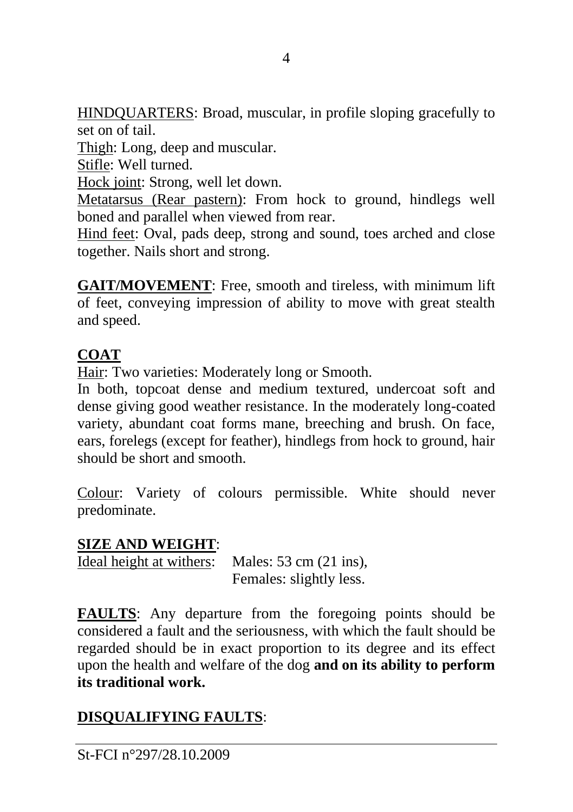HINDQUARTERS: Broad, muscular, in profile sloping gracefully to set on of tail.

Thigh: Long, deep and muscular.

Stifle: Well turned.

Hock joint: Strong, well let down.

Metatarsus (Rear pastern): From hock to ground, hindlegs well boned and parallel when viewed from rear.

Hind feet: Oval, pads deep, strong and sound, toes arched and close together. Nails short and strong.

**GAIT/MOVEMENT**: Free, smooth and tireless, with minimum lift of feet, conveying impression of ability to move with great stealth and speed.

#### **COAT**

Hair: Two varieties: Moderately long or Smooth.

In both, topcoat dense and medium textured, undercoat soft and dense giving good weather resistance. In the moderately long-coated variety, abundant coat forms mane, breeching and brush. On face, ears, forelegs (except for feather), hindlegs from hock to ground, hair should be short and smooth.

Colour: Variety of colours permissible. White should never predominate.

#### **SIZE AND WEIGHT**:

Ideal height at withers: Males: 53 cm (21 ins), Females: slightly less.

**FAULTS**: Any departure from the foregoing points should be considered a fault and the seriousness, with which the fault should be regarded should be in exact proportion to its degree and its effect upon the health and welfare of the dog **and on its ability to perform its traditional work.**

## **DISQUALIFYING FAULTS**:

St-FCI n°297/28.10.2009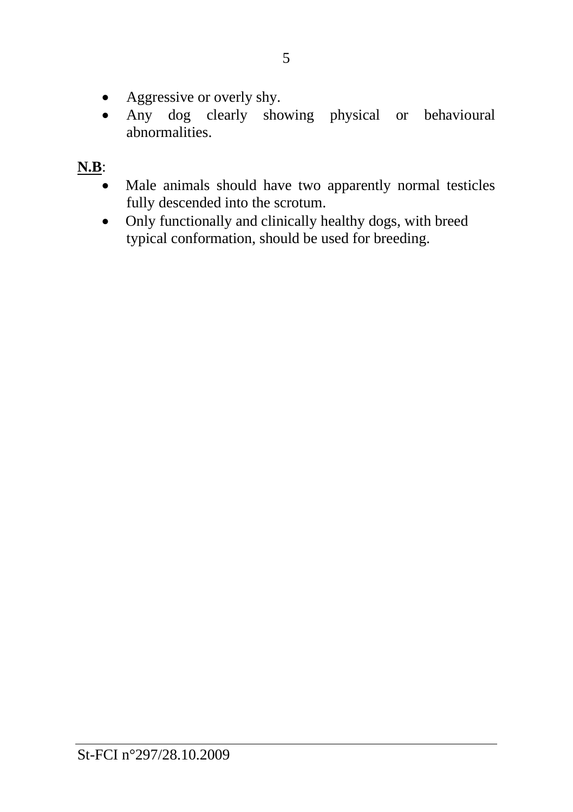- Aggressive or overly shy.
- Any dog clearly showing physical or behavioural abnormalities.

# **N.B**:

- Male animals should have two apparently normal testicles fully descended into the scrotum.
- Only functionally and clinically healthy dogs, with breed typical conformation, should be used for breeding.